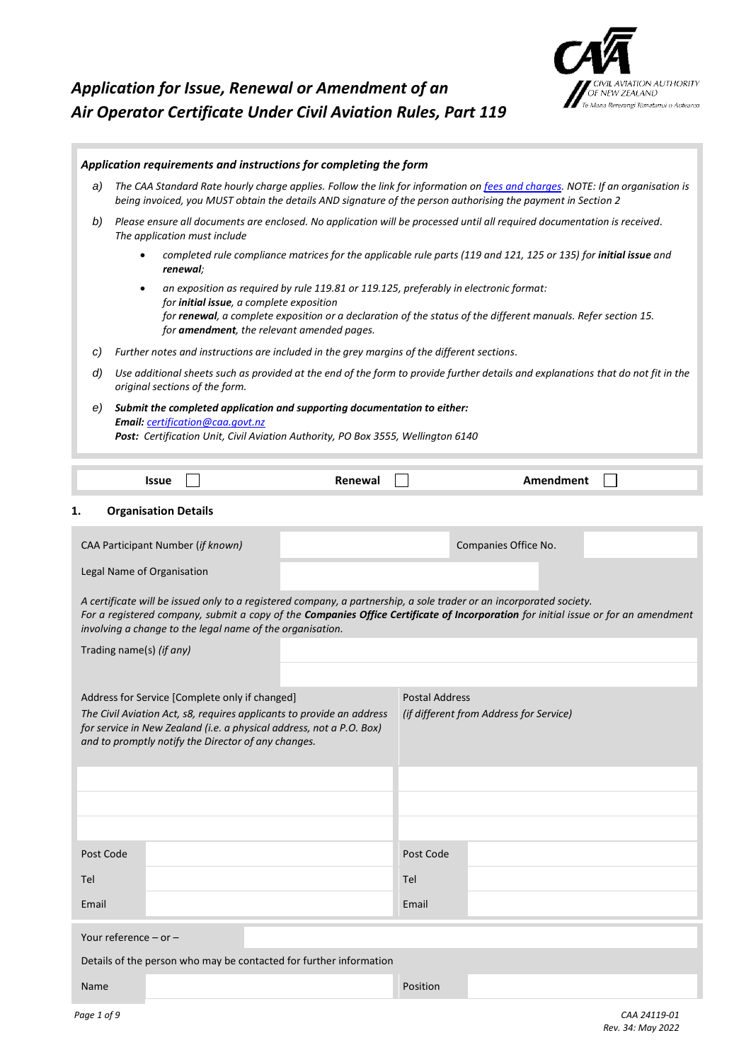# *Application for Issue, Renewal or Amendment of an Air Operator Certificate Under Civil Aviation Rules, Part 119*



|           |                                                                                                                                                                                                                                                                                                                               |  |                                                           | Application requirements and instructions for completing the form                                                                                            |                       |                                                                                                                                                                                                                                                           |  |  |  |
|-----------|-------------------------------------------------------------------------------------------------------------------------------------------------------------------------------------------------------------------------------------------------------------------------------------------------------------------------------|--|-----------------------------------------------------------|--------------------------------------------------------------------------------------------------------------------------------------------------------------|-----------------------|-----------------------------------------------------------------------------------------------------------------------------------------------------------------------------------------------------------------------------------------------------------|--|--|--|
| a)        | The CAA Standard Rate hourly charge applies. Follow the link for information on fees and charges. NOTE: If an organisation is<br>being invoiced, you MUST obtain the details AND signature of the person authorising the payment in Section 2                                                                                 |  |                                                           |                                                                                                                                                              |                       |                                                                                                                                                                                                                                                           |  |  |  |
| b)        |                                                                                                                                                                                                                                                                                                                               |  | The application must include                              |                                                                                                                                                              |                       | Please ensure all documents are enclosed. No application will be processed until all required documentation is received.                                                                                                                                  |  |  |  |
|           | completed rule compliance matrices for the applicable rule parts (119 and 121, 125 or 135) for initial issue and<br>$\bullet$<br>renewal;                                                                                                                                                                                     |  |                                                           |                                                                                                                                                              |                       |                                                                                                                                                                                                                                                           |  |  |  |
|           | an exposition as required by rule 119.81 or 119.125, preferably in electronic format:<br>$\bullet$<br>for <b>initial issue</b> , a complete exposition<br>for renewal, a complete exposition or a declaration of the status of the different manuals. Refer section 15.<br>for <b>amendment</b> , the relevant amended pages. |  |                                                           |                                                                                                                                                              |                       |                                                                                                                                                                                                                                                           |  |  |  |
| C)        |                                                                                                                                                                                                                                                                                                                               |  |                                                           | Further notes and instructions are included in the grey margins of the different sections.                                                                   |                       |                                                                                                                                                                                                                                                           |  |  |  |
| d)        |                                                                                                                                                                                                                                                                                                                               |  | original sections of the form.                            |                                                                                                                                                              |                       | Use additional sheets such as provided at the end of the form to provide further details and explanations that do not fit in the                                                                                                                          |  |  |  |
| e)        |                                                                                                                                                                                                                                                                                                                               |  | Email: certification@caa.govt.nz                          | Submit the completed application and supporting documentation to either:<br>Post: Certification Unit, Civil Aviation Authority, PO Box 3555, Wellington 6140 |                       |                                                                                                                                                                                                                                                           |  |  |  |
|           | <b>Issue</b>                                                                                                                                                                                                                                                                                                                  |  |                                                           | Renewal                                                                                                                                                      |                       | Amendment                                                                                                                                                                                                                                                 |  |  |  |
| 1.        | <b>Organisation Details</b>                                                                                                                                                                                                                                                                                                   |  |                                                           |                                                                                                                                                              |                       |                                                                                                                                                                                                                                                           |  |  |  |
|           | CAA Participant Number (if known)                                                                                                                                                                                                                                                                                             |  |                                                           |                                                                                                                                                              |                       | Companies Office No.                                                                                                                                                                                                                                      |  |  |  |
|           | Legal Name of Organisation                                                                                                                                                                                                                                                                                                    |  |                                                           |                                                                                                                                                              |                       |                                                                                                                                                                                                                                                           |  |  |  |
|           |                                                                                                                                                                                                                                                                                                                               |  | involving a change to the legal name of the organisation. |                                                                                                                                                              |                       | A certificate will be issued only to a registered company, a partnership, a sole trader or an incorporated society.<br>For a registered company, submit a copy of the Companies Office Certificate of Incorporation for initial issue or for an amendment |  |  |  |
|           | Trading name(s) (if any)                                                                                                                                                                                                                                                                                                      |  |                                                           |                                                                                                                                                              |                       |                                                                                                                                                                                                                                                           |  |  |  |
|           |                                                                                                                                                                                                                                                                                                                               |  |                                                           |                                                                                                                                                              |                       |                                                                                                                                                                                                                                                           |  |  |  |
|           |                                                                                                                                                                                                                                                                                                                               |  | Address for Service [Complete only if changed]            |                                                                                                                                                              | <b>Postal Address</b> |                                                                                                                                                                                                                                                           |  |  |  |
|           |                                                                                                                                                                                                                                                                                                                               |  | and to promptly notify the Director of any changes.       | The Civil Aviation Act, s8, requires applicants to provide an address<br>for service in New Zealand (i.e. a physical address, not a P.O. Box)                |                       | (if different from Address for Service)                                                                                                                                                                                                                   |  |  |  |
|           |                                                                                                                                                                                                                                                                                                                               |  |                                                           |                                                                                                                                                              |                       |                                                                                                                                                                                                                                                           |  |  |  |
|           |                                                                                                                                                                                                                                                                                                                               |  |                                                           |                                                                                                                                                              |                       |                                                                                                                                                                                                                                                           |  |  |  |
|           |                                                                                                                                                                                                                                                                                                                               |  |                                                           |                                                                                                                                                              |                       |                                                                                                                                                                                                                                                           |  |  |  |
| Post Code |                                                                                                                                                                                                                                                                                                                               |  |                                                           |                                                                                                                                                              | Post Code             |                                                                                                                                                                                                                                                           |  |  |  |
| Tel       |                                                                                                                                                                                                                                                                                                                               |  |                                                           |                                                                                                                                                              | Tel                   |                                                                                                                                                                                                                                                           |  |  |  |
| Email     |                                                                                                                                                                                                                                                                                                                               |  |                                                           |                                                                                                                                                              | Email                 |                                                                                                                                                                                                                                                           |  |  |  |
|           | Your reference $-$ or $-$                                                                                                                                                                                                                                                                                                     |  |                                                           |                                                                                                                                                              |                       |                                                                                                                                                                                                                                                           |  |  |  |
|           |                                                                                                                                                                                                                                                                                                                               |  |                                                           | Details of the person who may be contacted for further information                                                                                           |                       |                                                                                                                                                                                                                                                           |  |  |  |
| Name      |                                                                                                                                                                                                                                                                                                                               |  |                                                           |                                                                                                                                                              | Position              |                                                                                                                                                                                                                                                           |  |  |  |
|           |                                                                                                                                                                                                                                                                                                                               |  |                                                           |                                                                                                                                                              |                       |                                                                                                                                                                                                                                                           |  |  |  |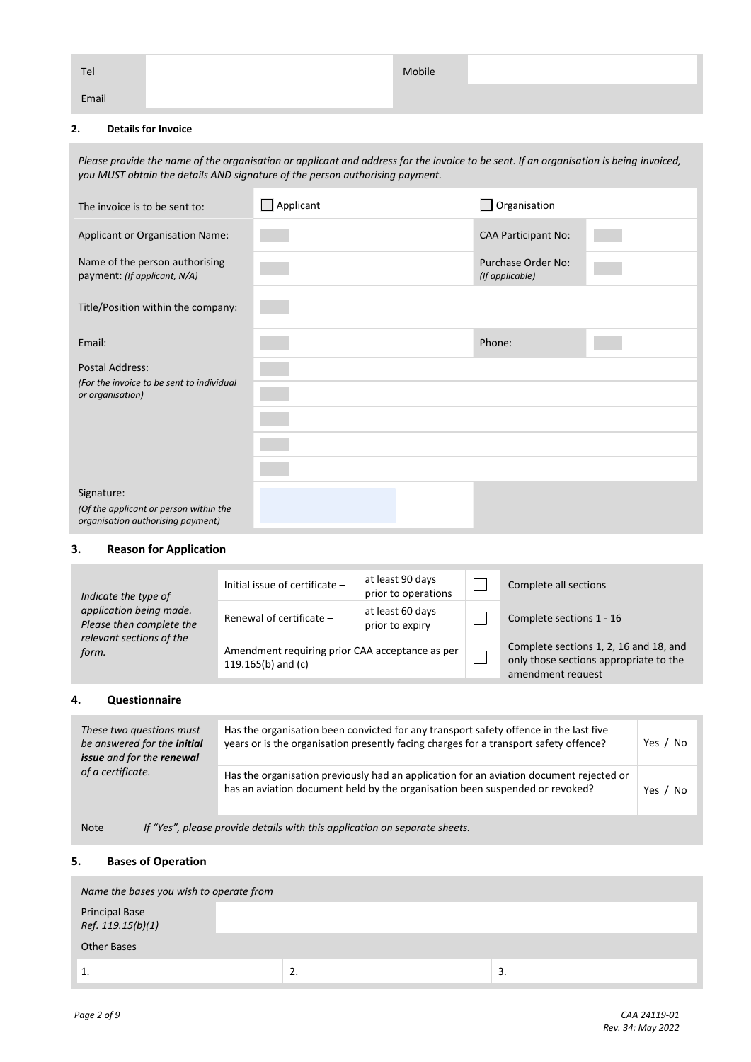| Tel   | Mobile |  |
|-------|--------|--|
| Email |        |  |

#### **2. Details for Invoice**

*Please provide the name of the organisation or applicant and address for the invoice to be sent. If an organisation is being invoiced, you MUST obtain the details AND signature of the person authorising payment.*

| The invoice is to be sent to:                                                             | Applicant | Organisation                          |
|-------------------------------------------------------------------------------------------|-----------|---------------------------------------|
| Applicant or Organisation Name:                                                           |           | <b>CAA Participant No:</b>            |
| Name of the person authorising<br>payment: (If applicant, N/A)                            |           | Purchase Order No:<br>(If applicable) |
| Title/Position within the company:                                                        |           |                                       |
| Email:                                                                                    |           | Phone:                                |
| <b>Postal Address:</b>                                                                    |           |                                       |
| (For the invoice to be sent to individual<br>or organisation)                             |           |                                       |
|                                                                                           |           |                                       |
|                                                                                           |           |                                       |
|                                                                                           |           |                                       |
| Signature:<br>(Of the applicant or person within the<br>organisation authorising payment) |           |                                       |

#### **3. Reason for Application**

| Indicate the type of                                | Initial issue of certificate -                                          | at least 90 days<br>prior to operations |  | Complete all sections                                                                                 |
|-----------------------------------------------------|-------------------------------------------------------------------------|-----------------------------------------|--|-------------------------------------------------------------------------------------------------------|
| application being made.<br>Please then complete the | Renewal of certificate -                                                | at least 60 days<br>prior to expiry     |  | Complete sections 1 - 16                                                                              |
| relevant sections of the<br>form.                   | Amendment requiring prior CAA acceptance as per<br>119.165(b) and $(c)$ |                                         |  | Complete sections 1, 2, 16 and 18, and<br>only those sections appropriate to the<br>amendment request |

### **4. Questionnaire**

| These two questions must<br>be answered for the initial<br>issue and for the renewal      | Has the organisation been convicted for any transport safety offence in the last five<br>years or is the organisation presently facing charges for a transport safety offence? |            |  |  |  |  |  |
|-------------------------------------------------------------------------------------------|--------------------------------------------------------------------------------------------------------------------------------------------------------------------------------|------------|--|--|--|--|--|
| of a certificate.                                                                         | Has the organisation previously had an application for an aviation document rejected or<br>has an aviation document held by the organisation been suspended or revoked?        | Yes.<br>No |  |  |  |  |  |
| If "Yes", please provide details with this application on separate sheets.<br><b>Note</b> |                                                                                                                                                                                |            |  |  |  |  |  |

#### **5. Bases of Operation**

| Name the bases you wish to operate from |          |    |  |  |  |  |
|-----------------------------------------|----------|----|--|--|--|--|
| Principal Base<br>Ref. 119.15(b)(1)     |          |    |  |  |  |  |
| Other Bases                             |          |    |  |  |  |  |
| <u>.</u>                                | <u>.</u> | 3. |  |  |  |  |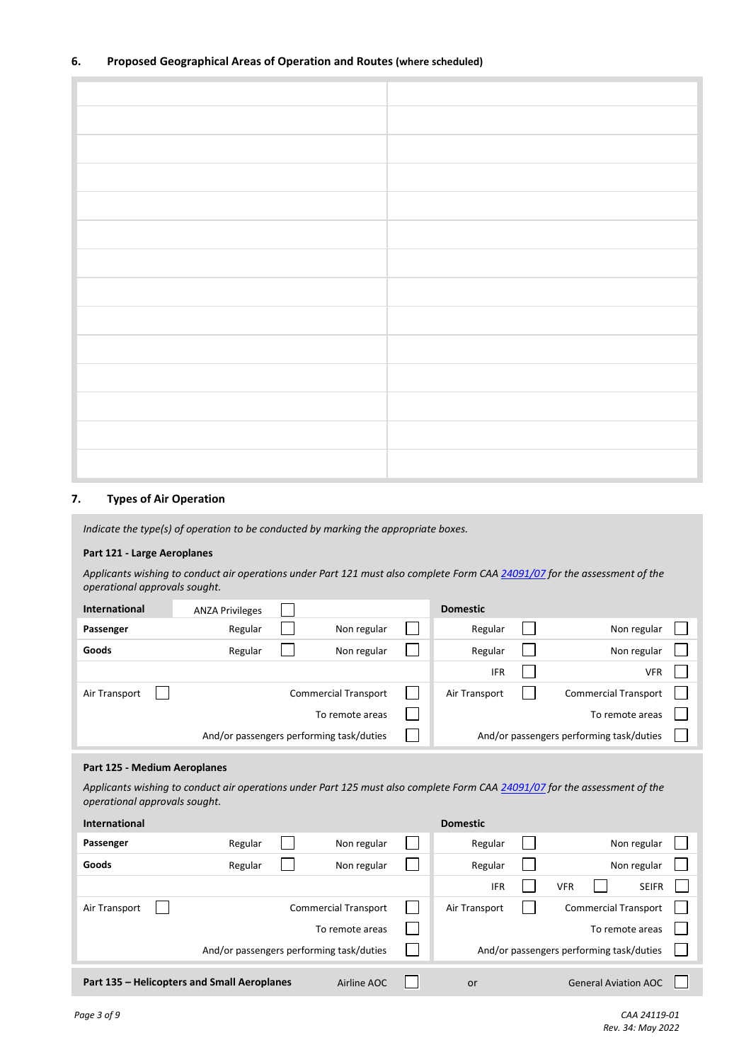#### **7. Types of Air Operation**

*Indicate the type(s) of operation to be conducted by marking the appropriate boxes.*

#### **Part 121 - Large Aeroplanes**

*Applicants wishing to conduct air operations under Part 121 must also complete Form CA[A 24091/07](https://www.aviation.govt.nz/about-us/forms/Filter/?SearchTerm=&Rule=50) for the assessment of the operational approvals sought.*

| <b>International</b>                     | <b>ANZA Privileges</b> |                             |  | <b>Domestic</b>                          |  |                             |  |
|------------------------------------------|------------------------|-----------------------------|--|------------------------------------------|--|-----------------------------|--|
| Passenger                                | Regular                | Non regular                 |  | Regular                                  |  | Non regular                 |  |
| Goods                                    | Regular                | Non regular                 |  | Regular                                  |  | Non regular                 |  |
|                                          |                        |                             |  | <b>IFR</b>                               |  | <b>VFR</b>                  |  |
| Air Transport                            |                        | <b>Commercial Transport</b> |  | Air Transport                            |  | <b>Commercial Transport</b> |  |
| To remote areas                          |                        |                             |  | To remote areas                          |  |                             |  |
| And/or passengers performing task/duties |                        |                             |  | And/or passengers performing task/duties |  |                             |  |

#### **Part 125 - Medium Aeroplanes**

*Applicants wishing to conduct air operations under Part 125 must also complete Form CA[A 24091/07](https://www.aviation.govt.nz/about-us/forms/Filter/?SearchTerm=&Rule=50) for the assessment of the operational approvals sought.*

| <b>International</b>                                       |         |                             |  | <b>Domestic</b> |  |            |                                          |              |  |
|------------------------------------------------------------|---------|-----------------------------|--|-----------------|--|------------|------------------------------------------|--------------|--|
| Passenger                                                  | Regular | Non regular                 |  | Regular         |  |            |                                          | Non regular  |  |
| Goods                                                      | Regular | Non regular                 |  | Regular         |  |            |                                          | Non regular  |  |
|                                                            |         |                             |  | <b>IFR</b>      |  | <b>VFR</b> |                                          | <b>SEIFR</b> |  |
| Air Transport                                              |         | <b>Commercial Transport</b> |  | Air Transport   |  |            | <b>Commercial Transport</b>              |              |  |
|                                                            |         | To remote areas             |  | To remote areas |  |            |                                          |              |  |
| And/or passengers performing task/duties                   |         |                             |  |                 |  |            | And/or passengers performing task/duties |              |  |
| Part 135 - Helicopters and Small Aeroplanes<br>Airline AOC |         |                             |  | or              |  |            | <b>General Aviation AOC</b>              |              |  |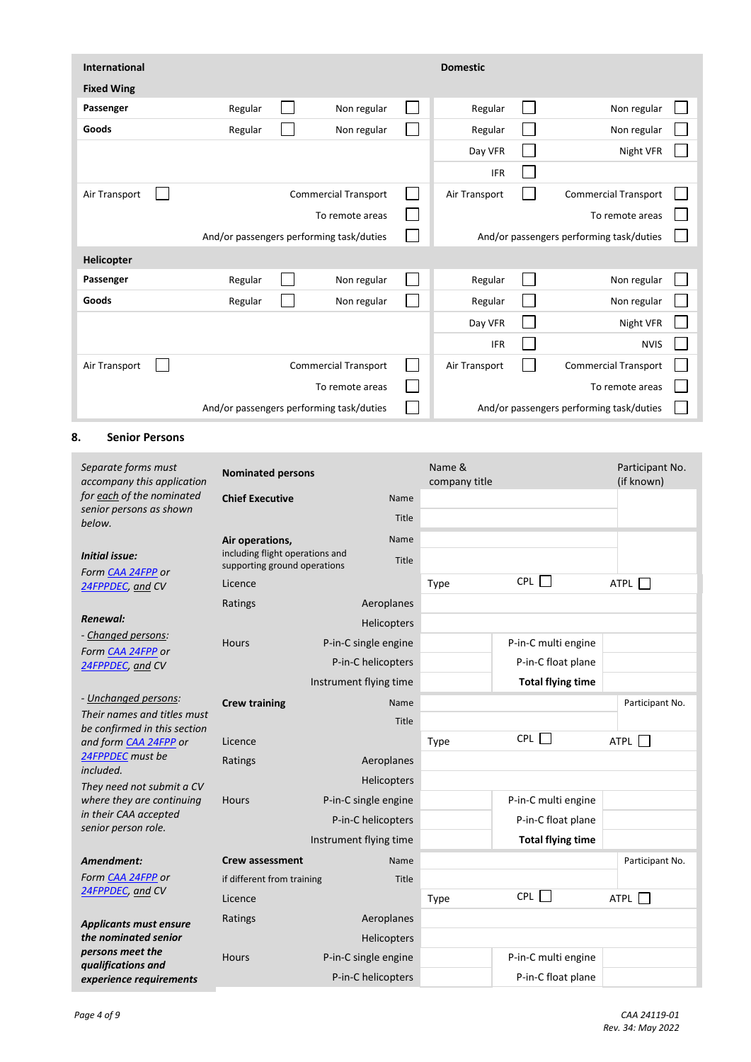| <b>International</b> |                                          |                             | <b>Domestic</b> |                                          |  |
|----------------------|------------------------------------------|-----------------------------|-----------------|------------------------------------------|--|
| <b>Fixed Wing</b>    |                                          |                             |                 |                                          |  |
| Passenger            | Regular                                  | Non regular                 | Regular         | Non regular                              |  |
| Goods                | Regular                                  | Non regular                 | Regular         | Non regular                              |  |
|                      |                                          |                             | Day VFR         | Night VFR                                |  |
|                      |                                          |                             | <b>IFR</b>      |                                          |  |
| Air Transport        |                                          | <b>Commercial Transport</b> | Air Transport   | <b>Commercial Transport</b>              |  |
|                      |                                          | To remote areas             |                 | To remote areas                          |  |
|                      | And/or passengers performing task/duties |                             |                 | And/or passengers performing task/duties |  |
| Helicopter           |                                          |                             |                 |                                          |  |
| Passenger            | Regular                                  | Non regular                 | Regular         | Non regular                              |  |
| Goods                | Regular                                  | Non regular                 | Regular         | Non regular                              |  |
|                      |                                          |                             | Day VFR         | Night VFR                                |  |
|                      |                                          |                             | <b>IFR</b>      | <b>NVIS</b>                              |  |
| Air Transport        |                                          | <b>Commercial Transport</b> | Air Transport   | <b>Commercial Transport</b>              |  |
|                      |                                          | To remote areas             |                 | To remote areas                          |  |
|                      | And/or passengers performing task/duties |                             |                 | And/or passengers performing task/duties |  |

## **8. Senior Persons**

| Separate forms must<br>accompany this application           | <b>Nominated persons</b>                                        |                        |             | Name &<br>company title |                          | Participant No.<br>(if known) |
|-------------------------------------------------------------|-----------------------------------------------------------------|------------------------|-------------|-------------------------|--------------------------|-------------------------------|
| for each of the nominated                                   | <b>Chief Executive</b>                                          |                        | Name        |                         |                          |                               |
| senior persons as shown<br>below.                           |                                                                 |                        | Title       |                         |                          |                               |
|                                                             | Air operations,                                                 |                        | Name        |                         |                          |                               |
| <b>Initial issue:</b>                                       | including flight operations and<br>supporting ground operations |                        | Title       |                         |                          |                               |
| Form CAA 24FPP or                                           | Licence                                                         |                        |             | Type                    | <b>CPL</b>               | ATPL                          |
| 24FPPDEC, and CV                                            |                                                                 |                        | Aeroplanes  |                         |                          |                               |
| Renewal:                                                    | Ratings                                                         |                        |             |                         |                          |                               |
| - Changed persons:                                          |                                                                 |                        | Helicopters |                         |                          |                               |
| Form CAA 24FPP or                                           | Hours                                                           | P-in-C single engine   |             |                         | P-in-C multi engine      |                               |
| 24FPPDEC, and CV                                            |                                                                 | P-in-C helicopters     |             |                         | P-in-C float plane       |                               |
|                                                             |                                                                 | Instrument flying time |             |                         | <b>Total flying time</b> |                               |
| - Unchanged persons:                                        | <b>Crew training</b>                                            |                        | Name        |                         |                          | Participant No.               |
| Their names and titles must<br>be confirmed in this section |                                                                 |                        | Title       |                         |                          |                               |
| and form CAA 24FPP or                                       | Licence                                                         |                        |             | Type                    | CPL                      | ATPL                          |
| 24FPPDEC must be<br>included.                               | Ratings                                                         |                        | Aeroplanes  |                         |                          |                               |
| They need not submit a CV                                   |                                                                 |                        | Helicopters |                         |                          |                               |
| where they are continuing                                   | <b>Hours</b>                                                    | P-in-C single engine   |             |                         | P-in-C multi engine      |                               |
| in their CAA accepted                                       |                                                                 | P-in-C helicopters     |             |                         | P-in-C float plane       |                               |
| senior person role.                                         |                                                                 | Instrument flying time |             |                         | <b>Total flying time</b> |                               |
| Amendment:                                                  | <b>Crew assessment</b>                                          |                        | Name        |                         |                          | Participant No.               |
| Form CAA 24FPP or                                           | if different from training                                      |                        | Title       |                         |                          |                               |
| 24FPPDEC, and CV                                            | Licence                                                         |                        |             | Type                    | CPL                      | ATPL                          |
| <b>Applicants must ensure</b>                               | Ratings                                                         |                        | Aeroplanes  |                         |                          |                               |
| the nominated senior                                        |                                                                 |                        | Helicopters |                         |                          |                               |
| persons meet the<br>qualifications and                      | <b>Hours</b>                                                    | P-in-C single engine   |             |                         | P-in-C multi engine      |                               |
| experience requirements                                     |                                                                 | P-in-C helicopters     |             |                         | P-in-C float plane       |                               |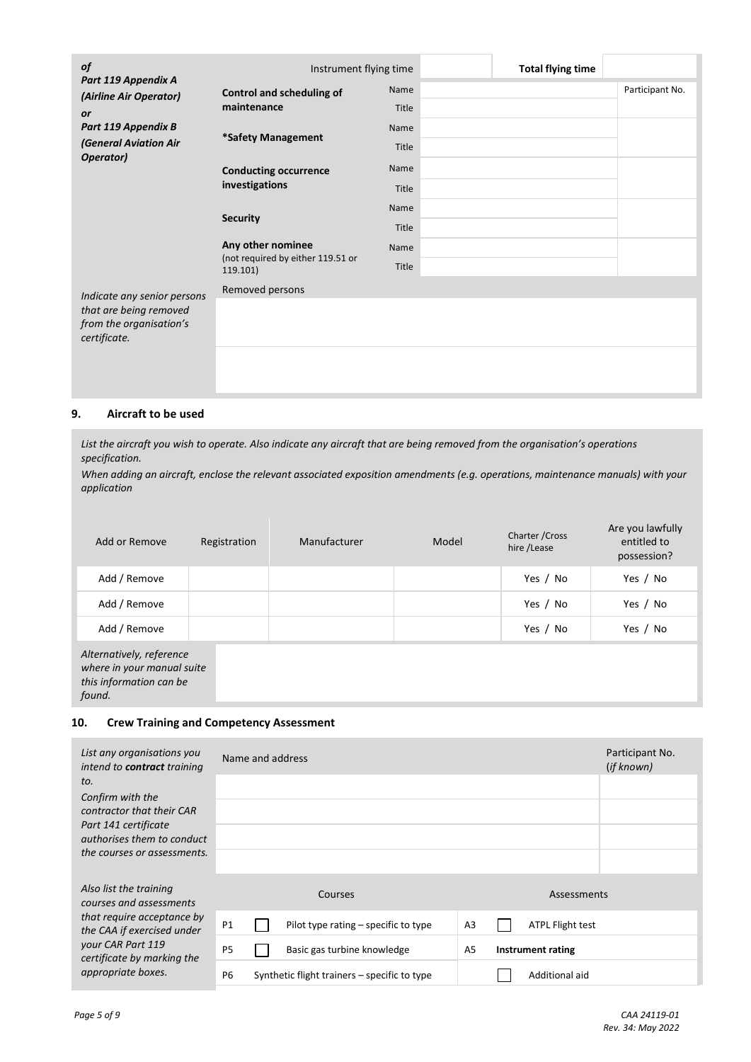| of                                            | Instrument flying time                        |       | <b>Total flying time</b> |                 |
|-----------------------------------------------|-----------------------------------------------|-------|--------------------------|-----------------|
| Part 119 Appendix A<br>(Airline Air Operator) | <b>Control and scheduling of</b>              | Name  |                          | Participant No. |
| <b>or</b>                                     | maintenance                                   | Title |                          |                 |
| Part 119 Appendix B                           | *Safety Management                            | Name  |                          |                 |
| (General Aviation Air<br>Operator)            |                                               | Title |                          |                 |
|                                               | <b>Conducting occurrence</b>                  | Name  |                          |                 |
|                                               | investigations                                | Title |                          |                 |
|                                               |                                               | Name  |                          |                 |
|                                               | <b>Security</b>                               | Title |                          |                 |
|                                               | Any other nominee                             | Name  |                          |                 |
|                                               | (not required by either 119.51 or<br>119.101) | Title |                          |                 |
| Indicate any senior persons                   | Removed persons                               |       |                          |                 |
| that are being removed                        |                                               |       |                          |                 |
| from the organisation's<br>certificate.       |                                               |       |                          |                 |
|                                               |                                               |       |                          |                 |
|                                               |                                               |       |                          |                 |
|                                               |                                               |       |                          |                 |

#### **9. Aircraft to be used**

*List the aircraft you wish to operate. Also indicate any aircraft that are being removed from the organisation's operations specification.*

*When adding an aircraft, enclose the relevant associated exposition amendments (e.g. operations, maintenance manuals) with your application*

| Add or Remove                                                                               | Registration | Manufacturer | Model | Charter / Cross<br>hire /Lease | Are you lawfully<br>entitled to<br>possession? |
|---------------------------------------------------------------------------------------------|--------------|--------------|-------|--------------------------------|------------------------------------------------|
| Add / Remove                                                                                |              |              |       | Yes / No                       | Yes / No                                       |
| Add / Remove                                                                                |              |              |       | Yes / No                       | Yes / No                                       |
| Add / Remove                                                                                |              |              |       | Yes / No                       | Yes / No                                       |
| Alternatively, reference<br>where in your manual suite<br>this information can be<br>found. |              |              |       |                                |                                                |

#### **10. Crew Training and Competency Assessment**

| List any organisations you<br>intend to <b>contract</b> training | Name and address                                                                        | Participant No.<br>(if known) |
|------------------------------------------------------------------|-----------------------------------------------------------------------------------------|-------------------------------|
| to.                                                              |                                                                                         |                               |
| Confirm with the<br>contractor that their CAR                    |                                                                                         |                               |
| Part 141 certificate<br>authorises them to conduct               |                                                                                         |                               |
| the courses or assessments.                                      |                                                                                         |                               |
| Also list the training<br>courses and assessments                | Courses<br>Assessments                                                                  |                               |
| that require acceptance by<br>the CAA if exercised under         | P1<br>A <sub>3</sub><br><b>ATPL Flight test</b><br>Pilot type rating – specific to type |                               |
| your CAR Part 119<br>certificate by marking the                  | P <sub>5</sub><br>Basic gas turbine knowledge<br>A5<br>Instrument rating                |                               |
| appropriate boxes.                                               | P <sub>6</sub><br>Additional aid<br>Synthetic flight trainers – specific to type        |                               |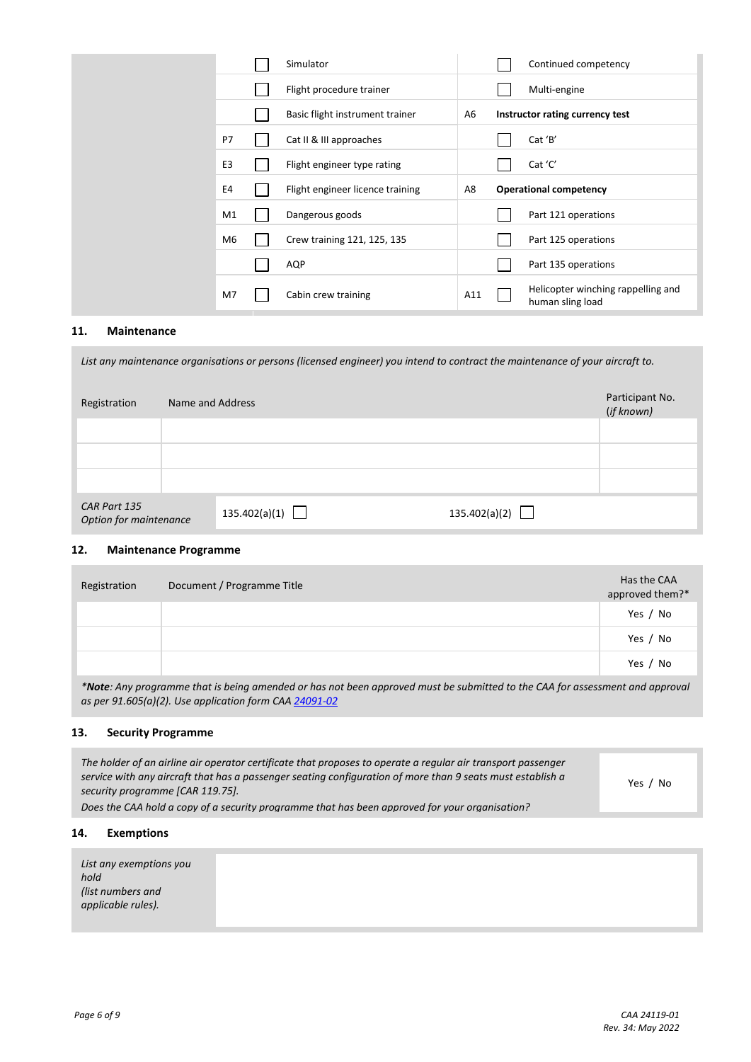|                | Simulator                        |                | Continued competency                                   |
|----------------|----------------------------------|----------------|--------------------------------------------------------|
|                | Flight procedure trainer         |                | Multi-engine                                           |
|                | Basic flight instrument trainer  | A <sub>6</sub> | Instructor rating currency test                        |
| P7             | Cat II & III approaches          |                | Cat 'B'                                                |
| E <sub>3</sub> | Flight engineer type rating      |                | Cat 'C'                                                |
| E4             | Flight engineer licence training | A8             | <b>Operational competency</b>                          |
| M1             | Dangerous goods                  |                | Part 121 operations                                    |
| M <sub>6</sub> | Crew training 121, 125, 135      |                | Part 125 operations                                    |
|                | AQP                              |                | Part 135 operations                                    |
| M7             | Cabin crew training              | A11            | Helicopter winching rappelling and<br>human sling load |

## **11. Maintenance**

*List any maintenance organisations or persons (licensed engineer) you intend to contract the maintenance of your aircraft to.*

| Registration                           | Name and Address     | Participant No.<br>(if known) |
|----------------------------------------|----------------------|-------------------------------|
|                                        |                      |                               |
|                                        |                      |                               |
|                                        |                      |                               |
| CAR Part 135<br>Option for maintenance | 135.402(a)(1) $\Box$ | 135.402(a)(2) $\Box$          |

## **12. Maintenance Programme**

| Registration | Document / Programme Title                                                                                                           | Has the CAA<br>approved them?* |
|--------------|--------------------------------------------------------------------------------------------------------------------------------------|--------------------------------|
|              |                                                                                                                                      | Yes / No                       |
|              |                                                                                                                                      | Yes / No                       |
|              |                                                                                                                                      | Yes / No                       |
|              | <b>*Note</b> : Any programme that is being amended or has not been approved must be submitted to the CAA for assessment and approval |                                |

*\*Note: Any programme that is being amended or has not been approved must be submitted to the CAA for assessment and approval as per 91.605(a)(2). Use application form CAA [24091-02](https://www.aviation.govt.nz/about-us/forms/Filter/?SearchTerm=&Rule=50)*

#### **13. Security Programme**

| The holder of an airline air operator certificate that proposes to operate a regular air transport passenger<br>service with any aircraft that has a passenger seating configuration of more than 9 seats must establish a<br>security programme [CAR 119.75]. | Yes / No |
|----------------------------------------------------------------------------------------------------------------------------------------------------------------------------------------------------------------------------------------------------------------|----------|
| Does the CAA hold a copy of a security programme that has been approved for your organisation?                                                                                                                                                                 |          |

## **14. Exemptions**

| List any exemptions you<br>hold |  |  |
|---------------------------------|--|--|
| (list numbers and               |  |  |
| applicable rules).              |  |  |
|                                 |  |  |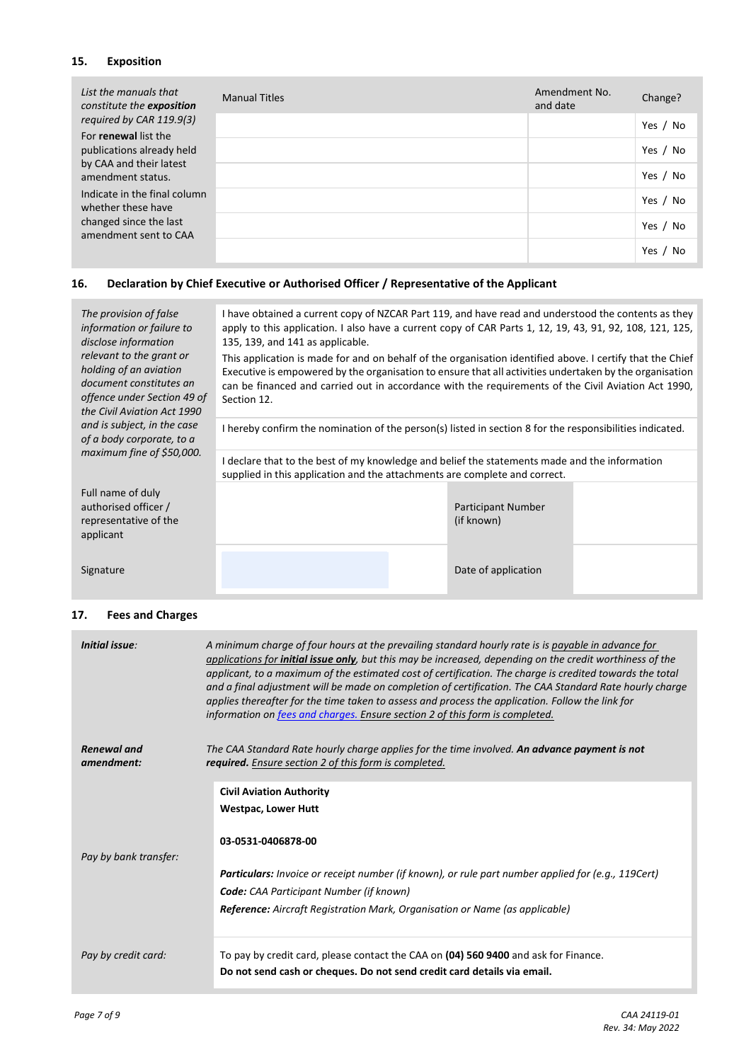## **15. Exposition**

| List the manuals that<br>constitute the exposition | <b>Manual Titles</b> | Amendment No.<br>and date | Change?    |
|----------------------------------------------------|----------------------|---------------------------|------------|
| required by CAR 119.9(3)<br>For renewal list the   |                      |                           | Yes / No   |
| publications already held                          |                      |                           | Yes / No   |
| by CAA and their latest<br>amendment status.       |                      |                           | Yes / No   |
| Indicate in the final column<br>whether these have |                      |                           | Yes / No   |
| changed since the last<br>amendment sent to CAA    |                      |                           | Yes / No   |
|                                                    |                      |                           | Yes,<br>No |

# **16. Declaration by Chief Executive or Authorised Officer / Representative of the Applicant**

| The provision of false<br>information or failure to<br>disclose information<br>relevant to the grant or<br>holding of an aviation<br>document constitutes an<br>offence under Section 49 of<br>the Civil Aviation Act 1990 | I have obtained a current copy of NZCAR Part 119, and have read and understood the contents as they<br>apply to this application. I also have a current copy of CAR Parts 1, 12, 19, 43, 91, 92, 108, 121, 125,<br>135, 139, and 141 as applicable.<br>This application is made for and on behalf of the organisation identified above. I certify that the Chief<br>Executive is empowered by the organisation to ensure that all activities undertaken by the organisation<br>can be financed and carried out in accordance with the requirements of the Civil Aviation Act 1990,<br>Section 12. |                                         |  |  |
|----------------------------------------------------------------------------------------------------------------------------------------------------------------------------------------------------------------------------|---------------------------------------------------------------------------------------------------------------------------------------------------------------------------------------------------------------------------------------------------------------------------------------------------------------------------------------------------------------------------------------------------------------------------------------------------------------------------------------------------------------------------------------------------------------------------------------------------|-----------------------------------------|--|--|
| and is subject, in the case<br>of a body corporate, to a                                                                                                                                                                   | I hereby confirm the nomination of the person(s) listed in section 8 for the responsibilities indicated.                                                                                                                                                                                                                                                                                                                                                                                                                                                                                          |                                         |  |  |
| maximum fine of \$50,000.                                                                                                                                                                                                  | I declare that to the best of my knowledge and belief the statements made and the information<br>supplied in this application and the attachments are complete and correct.                                                                                                                                                                                                                                                                                                                                                                                                                       |                                         |  |  |
| Full name of duly<br>authorised officer /<br>representative of the<br>applicant                                                                                                                                            |                                                                                                                                                                                                                                                                                                                                                                                                                                                                                                                                                                                                   | <b>Participant Number</b><br>(if known) |  |  |
| Signature                                                                                                                                                                                                                  |                                                                                                                                                                                                                                                                                                                                                                                                                                                                                                                                                                                                   | Date of application                     |  |  |

# **17. Fees and Charges**

| Initial issue:                   | A minimum charge of four hours at the prevailing standard hourly rate is is payable in advance for<br>applications for <b>initial issue only</b> , but this may be increased, depending on the credit worthiness of the<br>applicant, to a maximum of the estimated cost of certification. The charge is credited towards the total<br>and a final adjustment will be made on completion of certification. The CAA Standard Rate hourly charge<br>applies thereafter for the time taken to assess and process the application. Follow the link for<br>information on fees and charges. Ensure section 2 of this form is completed. |
|----------------------------------|------------------------------------------------------------------------------------------------------------------------------------------------------------------------------------------------------------------------------------------------------------------------------------------------------------------------------------------------------------------------------------------------------------------------------------------------------------------------------------------------------------------------------------------------------------------------------------------------------------------------------------|
| <b>Renewal</b> and<br>amendment: | The CAA Standard Rate hourly charge applies for the time involved. An advance payment is not<br>required. Ensure section 2 of this form is completed.                                                                                                                                                                                                                                                                                                                                                                                                                                                                              |
|                                  | <b>Civil Aviation Authority</b>                                                                                                                                                                                                                                                                                                                                                                                                                                                                                                                                                                                                    |
|                                  | <b>Westpac, Lower Hutt</b>                                                                                                                                                                                                                                                                                                                                                                                                                                                                                                                                                                                                         |
|                                  | 03-0531-0406878-00                                                                                                                                                                                                                                                                                                                                                                                                                                                                                                                                                                                                                 |
| Pay by bank transfer:            | <b>Particulars:</b> Invoice or receipt number (if known), or rule part number applied for (e.g., 119Cert)                                                                                                                                                                                                                                                                                                                                                                                                                                                                                                                          |
|                                  | <b>Code:</b> CAA Participant Number (if known)                                                                                                                                                                                                                                                                                                                                                                                                                                                                                                                                                                                     |
|                                  | Reference: Aircraft Registration Mark, Organisation or Name (as applicable)                                                                                                                                                                                                                                                                                                                                                                                                                                                                                                                                                        |
| Pay by credit card:              | To pay by credit card, please contact the CAA on (04) 560 9400 and ask for Finance.                                                                                                                                                                                                                                                                                                                                                                                                                                                                                                                                                |
|                                  | Do not send cash or cheques. Do not send credit card details via email.                                                                                                                                                                                                                                                                                                                                                                                                                                                                                                                                                            |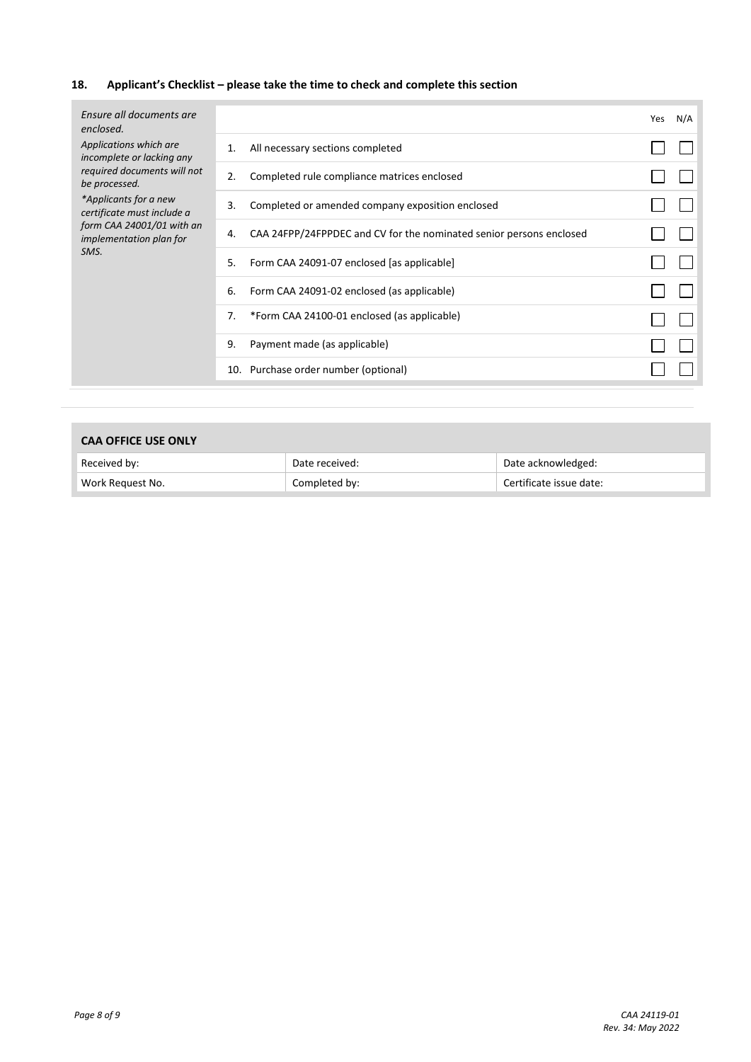# **18. Applicant's Checklist – please take the time to check and complete this section**

| Applications which are<br>All necessary sections completed<br>1.<br>incomplete or lacking any<br>required documents will not<br>Completed rule compliance matrices enclosed<br>2.<br>be processed.<br>*Applicants for a new<br>Completed or amended company exposition enclosed<br>3.<br>certificate must include a |  |
|---------------------------------------------------------------------------------------------------------------------------------------------------------------------------------------------------------------------------------------------------------------------------------------------------------------------|--|
|                                                                                                                                                                                                                                                                                                                     |  |
|                                                                                                                                                                                                                                                                                                                     |  |
|                                                                                                                                                                                                                                                                                                                     |  |
| form CAA 24001/01 with an<br>CAA 24FPP/24FPPDEC and CV for the nominated senior persons enclosed<br>4.<br>implementation plan for                                                                                                                                                                                   |  |
| SMS.<br>Form CAA 24091-07 enclosed [as applicable]<br>5.                                                                                                                                                                                                                                                            |  |
| 6.<br>Form CAA 24091-02 enclosed (as applicable)                                                                                                                                                                                                                                                                    |  |
| *Form CAA 24100-01 enclosed (as applicable)<br>7.                                                                                                                                                                                                                                                                   |  |
| Payment made (as applicable)<br>9.                                                                                                                                                                                                                                                                                  |  |
| 10. Purchase order number (optional)                                                                                                                                                                                                                                                                                |  |

| <b>CAA OFFICE USE ONLY</b> |  |
|----------------------------|--|
|----------------------------|--|

| Received by:     | Date received: | Date acknowledged:      |
|------------------|----------------|-------------------------|
| Work Request No. | Completed by:  | Certificate issue date: |